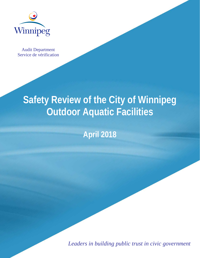

Audit Department Service de vérification

# **Safety Review of the City of Winnipeg Outdoor Aquatic Facilities**

# **April 2018**

*Leaders in building public trust in civic government*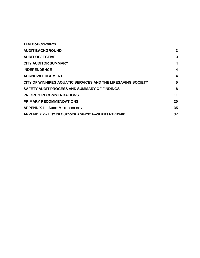| 3  |
|----|
| 3  |
| 4  |
| 4  |
| 4  |
| 5  |
| 8  |
| 11 |
| 20 |
| 35 |
| 37 |
|    |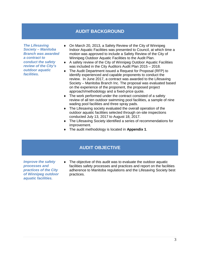# **AUDIT BACKGROUND**

<span id="page-2-0"></span>*The Lifesaving Society – Manitoba Branch was awarded a contract to conduct the safety review of the City's outdoor aquatic facilities.*

- On March 20, 2013, a Safety Review of the City of Winnipeg Indoor Aquatic Facilities was presented to Council, at which time a motion was approved to include a Safety Review of the City of Winnipeg Outdoor Aquatic Facilities to the Audit Plan.
- ♦ A safety review of the City of Winnipeg Outdoor Aquatic Facilities was included in the City Auditors Audit Plan 2015 – 2018.
- ♦ The Audit Department issued a Request for Proposal (RFP) to identify experienced and capable proponents to conduct the review. In June 2017, a contract was awarded to the Lifesaving Society – Manitoba Branch Inc. The proposal was evaluated based on the experience of the proponent, the proposed project approach/methodology and a fixed-price quote.
- ♦ The work performed under the contract consisted of a safety review of all ten outdoor swimming pool facilities, a sample of nine wading pool facilities and three spray pads.
- ♦ The Lifesaving society evaluated the overall operation of the outdoor aquatic facilities selected through on-site inspections conducted July 13, 2017 to August 18, 2017.
- ♦ The Lifesaving Society identified a series of recommendations for improvement.
- ♦ The audit methodology is located in **Appendix 1**.

# **AUDIT OBJECTIVE**

<span id="page-2-2"></span><span id="page-2-1"></span>*Improve the safety processes and practices of the City of Winnipeg outdoor aquatic facilities.*

♦ The objective of this audit was to evaluate the outdoor aquatic facilities safety processes and practices and report on the facilities adherence to Manitoba regulations and the Lifesaving Society best practices.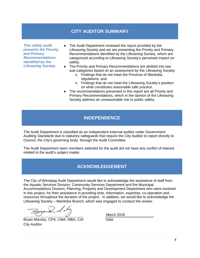# **CITY AUDITOR SUMMARY**

<span id="page-3-0"></span>*This safety audit presents the Priority and Primary Recommendations identified by the Lifesaving Society.*

- The Audit Department reviewed the report provided by the Lifesaving Society and we are presenting the Priority and Primary Recommendations identified by the Lifesaving Society, which are categorized according to Lifesaving Society's perceived impact on safety.
- The Priority and Primary Recommendations are divided into two sub-categories based on an assessment by the Lifesaving Society:
	- o Findings that do not meet the Province of Manitoba regulations, and
	- o Findings that do not meet the Lifesaving Society's position on what constitutes reasonable safe practice.
- ♦ The recommendations presented in this report are all Priority and Primary Recommendations, which in the opinion of the Lifesaving Society address an unreasonable risk to public safety.

# **INDEPENDENCE**

<span id="page-3-1"></span>The Audit Department is classified as an independent external auditor under *Government Auditing Standards* due to statutory safeguards that require the City Auditor to report directly to Council, the City's governing body, through the Audit Committee.

The Audit Department team members selected for the audit did not have any conflict of interest related to the audit's subject matter.

# **ACKNOWLEDGEMENT**

<span id="page-3-2"></span>The City of Winnipeg Audit Department would like to acknowledge the assistance of staff from the Aquatic Services Division, Community Services Department and the Municipal Accommodations Division, Planning, Property and Development Department who were involved in this project, for their assistance in providing time, information, expertise, co-operation and resources throughout the duration of the project. In addition, we would like to acknowledge the Lifesaving Society – Manitoba Branch, which was engaged to conduct the review.

Bryan Mansky, CPA, CMA, MBA, CIA Date City Auditor

March 2018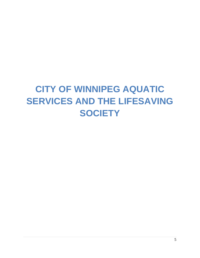# <span id="page-4-0"></span>**CITY OF WINNIPEG AQUATIC SERVICES AND THE LIFESAVING SOCIETY**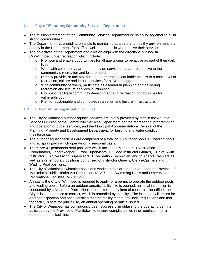# **1.1 City of Winnipeg Community Services Department**

- ♦ The mission statement of the Community Services Department is: "Working together to build strong communities".
- ♦ The Department has a guiding principle to maintain that a safe and healthy environment is a priority in the Department, for staff as well as the public who receive their services.
- ♦ The objectives of the Department and division align with the directions outlined in OurWinnipeg under recreation which include:
	- $\circ$  Promote and enable opportunities for all age groups to be active as part of their daily lives.
	- o Work with community partners to provide services that are responsive to the community's recreation and leisure needs.
	- o Directly provide, or facilitate through partnerships, equitable access to a base level of recreation, culture and leisure services for all Winnipeggers.
	- o With community partners, participate as a leader in planning and delivering recreation and leisure services in Winnipeg.
	- o Provide or facilitate community development and recreation opportunities for vulnerable youth.
	- o Plan for sustainable and connected recreation and leisure infrastructure.

# **1.2 City of Winnipeg Aquatic Services**

- ♦ The City of Winnipeg outdoor aquatic services are jointly provided by staff in the Aquatic Services Division of the Community Services Department, for the recreational programming and operation of public services, and the Municipal Accommodations Division of the Planning, Property and Development Department, for building and water condition maintenance.
- $\bullet$  The outdoor aquatic facilities are comprised of a total of: 10 outdoor pools, 83 wading pools, and 20 spray pads which operate on a seasonal basis.
- ♦ There are 47 permanent staff positions which include: 1 Manager, 3 Recreation Coordinators, 1 Storekeeper, 6 Pool Supervisors, 19 Head Instructor Guards, 1 Chief Swim Instructor, 3 Active Living Supervisors, 1 Recreation Technician, and 12 Clerks/Cashiers as well as 279 temporary positions comprised of Instructor Guards, Clerks/Cashiers and Wading Pool positions.
- ♦ The City of Winnipeg swimming pools and wading pools are regulated under the Province of Manitoba's Public Health Act Regulation 132/97 - the Swimming Pools and Other Water Recreational Facilities (MR 132/97).
- ♦ Annually, the City of Winnipeg is required to apply for a permit to operate the outdoor pools and wading pools. Before an outdoor aquatic facility site is opened, an initial inspection is conducted by a Manitoba Public Health Inspector. If any item of concern is identified, the City is issued a notice to correct, which is remedied by the City. The inspector will return for another inspection and once satisfied that the facility meets provincial regulations and that the facility is safe for public use, an annual operating permit is issued.
- ♦ The City of Winnipeg has continuously been successful in obtaining the operating permits, as issued by the Province of Manitoba - to ensure compliance with the regulation, for all outdoor aquatic facilities.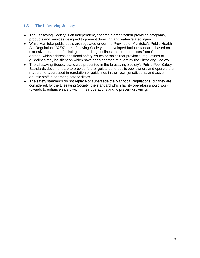# **1.3 The Lifesaving Society**

- ♦ The Lifesaving Society is an independent, charitable organization providing programs, products and services designed to prevent drowning and water-related injury.
- ♦ While Manitoba public pools are regulated under the Province of Manitoba's Public Health Act Regulation 132/97, the Lifesaving Society has developed further standards based on extensive research of existing standards, guidelines and best practices from Canada and abroad, which address additional safety issues or topics that provincial regulations or guidelines may be silent on which have been deemed relevant by the Lifesaving Society.
- ♦ The Lifesaving Society standards presented in the Lifesaving Society's Public Pool Safety Standards document are to provide further guidance to public pool owners and operators on matters not addressed in regulation or guidelines in their own jurisdictions, and assist aquatic staff in operating safe facilities.
- ♦ The safety standards do not replace or supersede the Manitoba Regulations, but they are considered, by the Lifesaving Society, the standard which facility operators should work towards to enhance safety within their operations and to prevent drowning.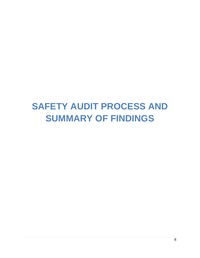# <span id="page-7-0"></span>**SAFETY AUDIT PROCESS AND SUMMARY OF FINDINGS**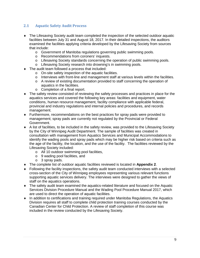# **2.1 Aquatic Safety Audit Process**

- ♦ The Lifesaving Society audit team completed the inspection of the selected outdoor aquatic facilities between July 31 and August 18, 2017. In their detailed inspections, the auditors examined the facilities applying criteria developed by the Lifesaving Society from sources that include:
	- o Government of Manitoba regulations governing public swimming pools.
	- o Recommendations from coroners' inquests.
	- o Lifesaving Society standards concerning the operation of public swimming pools.
	- o Lifesaving Society research into drowning's in swimming pools.
- The audit team followed a process that included:
	- o On-site safety inspection of the aquatic facilities.
	- o Interviews with front-line and management staff at various levels within the facilities.
	- o A review of existing documentation provided to staff concerning the operation of aquatics in the facilities.
	- o Completion of a final report.
- ♦ The safety review consisted of reviewing the safety processes and practices in place for the aquatics services and covered the following key areas: facilities and equipment, water conditions, human resource management, facility compliance with applicable federal, provincial and industry regulations and internal policies and procedures, and records management.
- ♦ Furthermore, recommendations on the best practices for spray pads were provided to management; spray pads are currently not regulated by the Provincial or Federal Government.
- ♦ A list of facilities, to be included in the safety review, was provided to the Lifesaving Society by the City of Winnipeg Audit Department. The sample of facilities was created in consultation with management from Aquatics Services and Municipal Accommodations to identify the wading pools and spray pads which may be higher risk based on criteria such as the age of the facility, the location, and the use of the facility. The facilities reviewed by the Lifesaving Society included:
	- o All 10 outdoor swimming pool facilities,
	- o 9 wading pool facilities, and
	- o 3 spray pads.
- ♦ The complete list of outdoor aquatic facilities reviewed is located in **Appendix 2**.
- ♦ Following the facility inspections, the safety audit team conducted interviews with a selected cross-section of the City of Winnipeg employees representing various relevant functions supporting aquatic services delivery. The interviews were designed to gather the views of staff on the aquatics operations.
- ♦ The safety audit team examined the aquatics-related literature and focused on the Aquatic Services Division Procedure Manual and the Wading Pool Procedure Manual 2017, which are used to direct the operation of aquatic facilities.
- ♦ In addition to certifications and training required under Manitoba Regulations, the Aquatics Division requires all staff to complete child protection training courses conducted by the Canadian Center for Child Protection. A review of staff completion of this course was included in the review conducted by the Lifesaving Society.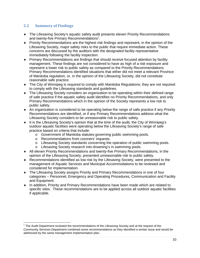# **2.2 Summary of Findings**

- ♦ The Lifesaving Society's aquatic safety audit presents eleven Priority Recommendations and twenty-five Primary Recommendations<sup>[1](#page-2-2)</sup>.
- ♦ Priority Recommendations are the highest risk findings and represent, in the opinion of the Lifesaving Society, major safety risks to the public that require immediate action. These concerns are discussed by the auditors with the designated facility representative immediately following the facility inspection.
- ♦ Primary Recommendations are findings that should receive focused attention by facility management. These findings are not considered to have as high of a risk exposure and represent a lower risk to public safety as compared to the Priority Recommendations. Primary Recommendations identified situations that either did not meet a relevant Province of Manitoba regulation, or, in the opinion of the Lifesaving Society, did not constitute reasonable safe practice.
- ♦ The City of Winnipeg is required to comply with Manitoba Regulations; they are not required to comply with the Lifesaving standards and guidelines.
- ♦ The Lifesaving Society considers an organization to be operating within their defined range of safe practice if the aquatic safety audit identifies no Priority Recommendations, and only Primary Recommendations which in the opinion of the Society represents a low risk to public safety.
- ♦ An organization is considered to be operating below the range of safe practice if any Priority Recommendations are identified, or if any Primary Recommendations address what the Lifesaving Society considers to be unreasonable risk to public safety.
- ♦ It is the Lifesaving Society's opinion that at the time of the audit, the City of Winnipeg's outdoor aquatic facilities were operating below the Lifesaving Society's range of safe practice based on criteria that include:
	- o Government of Manitoba statutes governing public swimming pools.
	- o Recommendations from coroners' inquests.
	- o Lifesaving Society standards concerning the operation of public swimming pools.
	- o Lifesaving Society research into drowning's in swimming pools.
- ♦ All eleven Priority Recommendations and twenty-five Primary Recommendations, in the opinion of the Lifesaving Society, presented unreasonable risk to public safety.
- ♦ Recommendations identified as low risk by the Lifesaving Society, were presented to the management of Aquatic Services and Municipal Accommodations to be reviewed and considered for implementation.
- ♦ The Lifesaving Society assigns Priority and Primary Recommendations in one of four categories – Personnel, Emergency and Operating Procedures, Communication and Facility and Equipment.
- ♦ In addition, Priority and Primary Recommendations have been made which are related to specific sites. These recommendations are to be applied across all outdoor aquatic facilities if applicable.

 $1$  The Audit Department reviewed the recommendations of the Lifesaving Society and at the request of the Community Services Department combined some recommendations as they identified a similar issue and would be addressed by the same management implementation plan.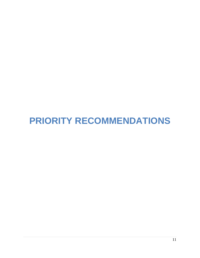# <span id="page-10-0"></span>**PRIORITY RECOMMENDATIONS**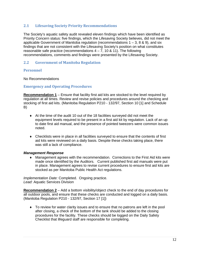# **2.1 Lifesaving Society Priority Recommendations**

The Society's aquatic safety audit revealed eleven findings which have been identified as Priority Concern status: five findings, which the Lifesaving Society believes, did not meet the applicable Government of Manitoba regulation (recommendations  $1 - 3$ , 8 & 9), and six findings that are not consistent with the Lifesaving Society's position on what constitutes reasonable safe practice (recommendations  $4 - 7$ , 10 & 11). The following recommendations, comments and findings were presented by the Lifesaving Society.

# **2.2 Government of Manitoba Regulation**

# **Personnel**

No Recommendations

## **Emergency and Operating Procedures**

**Recommendation 1** – Ensure that facility first aid kits are stocked to the level required by regulation at all times. Review and revise policies and procedures around the checking and stocking of first aid kits. (Manitoba Regulation P210 - 132/97, Section 10 [1] and Schedule B)

- $\blacklozenge$  At the time of the audit 10 out of the 18 facilities surveyed did not meet the equipment levels required to be present in a first aid kit by regulation. Lack of an up to date first aid manual, and the presence of pointed tweezers were common issues noted.
- $\bullet$  Checklists were in place in all facilities surveyed to ensure that the contents of first aid kits were reviewed on a daily basis. Despite these checks taking place, there was still a lack of compliance.

## *Management Response*

♦ Management agrees with the recommendation. Corrections to the First Aid kits were made once identified by the Auditors. Current published first aid manuals were put in place. Management agrees to revise current procedures to ensure first aid kits are stocked as per Manitoba Public Health Act regulations.

*Implementation Date:* Completed. Ongoing practice. *Lead:* Aquatic Services Division

**Recommendation 2** – Add a bottom visibility/object check to the end of day procedures for all outdoor pools, and ensure that these checks are conducted and logged on a daily basis. (Manitoba Regulation P210 - 132/97, Section 17 [1])

♦ To review for water clarity issues and to ensure that no patrons are left in the pool after closing, a check of the bottom of the tank should be added to the closing procedures for the facility. These checks should be logged on the Daily Safety Checklist that lifeguard staff are responsible for completing.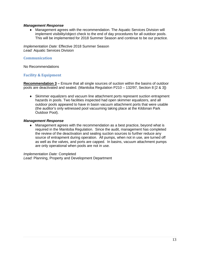## *Management Response*

♦ Management agrees with the recommendation. The Aquatic Services Division will implement visibility/object check to the end of day procedures for all outdoor pools. This will be implemented for 2018 Summer Season and continue to be our practice.

*Implementation Date:* Effective 2018 Summer Season *Lead:* Aquatic Services Division

## **Communication**

No Recommendations

# **Facility & Equipment**

**Recommendation 3 –** Ensure that all single sources of suction within the basins of outdoor pools are deactivated and sealed. (Manitoba Regulation P210 – 132/97, Section 8 [2 & 3])

♦ Skimmer equalizers and vacuum line attachment ports represent suction entrapment hazards in pools. Two facilities inspected had open skimmer equalizers, and all outdoor pools appeared to have in basin vacuum attachment ports that were usable (the auditor's only witnessed pool vacuuming taking place at the Kildonan Park Outdoor Pool).

## *Management Response*

♦ Management agrees with the recommendation as a best practice, beyond what is required in the Manitoba Regulation. Since the audit, management has completed the review of the deactivation and sealing suction sources to further reduce any source of entrapment during operation. All pumps, when not in use, are turned off as well as the valves, and ports are capped. In basins, vacuum attachment pumps are only operational when pools are not in use.

*Implementation Date:* Completed *Lead:* Planning, Property and Development Department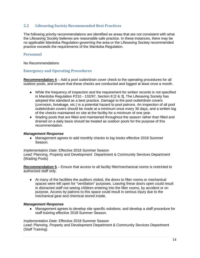# **2.2 Lifesaving Society Recommended Best Practices**

The following priority recommendations are identified as areas that are not consistent with what the Lifesaving Society believes are reasonable safe practice. In these instances, there may be no applicable Manitoba Regulation governing the area or the Lifesaving Society recommended practice exceeds the requirements of the Manitoba Regulation.

# **Personnel**

No Recommendations

# **Emergency and Operating Procedures**

**Recommendation 4** – Add a pool outlet/drain cover check to the operating procedures for all outdoor pools, and ensure that these checks are conducted and logged at least once a month.

- ♦ While the frequency of inspection and the requirement for written records is not specified in Manitoba Regulation P210 - 132/97, Section 8 [2 & 3], The Lifesaving Society has adopted this standard as a best practice. Damage to the pool outlet/drain covers (corrosion, breakage, etc.) is a potential hazard to pool patrons. An inspection of all pool outlets/drain covers should be made at a minimum once every 30 days, and a written log of the checks maintained on site at the facility for a minimum of one year.
- ♦ Wading pools that are filled and maintained throughout the season rather than filled and drained on a daily basis should be treated as outdoor pools for the purpose of this recommendation.

## *Management Response*

♦ Management agrees to add monthly checks to log books effective 2018 Summer Season.

#### *Implementation Date:* Effective 2018 Summer Season

*Lead:* Planning, Property and Development Department & Community Services Department (Wading Pools)

**Recommendation 5** – Ensure that access to all facility filter/mechanical rooms is restricted to authorized staff only.

 $\bullet$  At many of the facilities the auditors visited, the doors to filter rooms or mechanical spaces were left open for "ventilation" purposes. Leaving these doors open could result in distracted staff not seeing children entering into the filter rooms, by accident or on purpose. Access by patrons to this space could result in serious injury due to the mechanical gear and chemical stored inside.

## *Management Response*

♦ Management agrees to develop site specific solutions; and develop a staff procedure for staff training effective 2018 Summer Season.

## *Implementation Date:* Effective 2018 Summer Season

*Lead:* Planning, Property and Development Department & Community Services Department (Staff Training)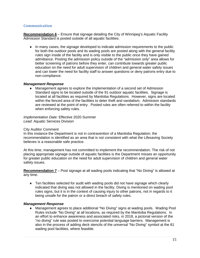# **Communication**

**Recommendation 6** – Ensure that signage detailing the City of Winnipeg's Aquatic Facility Admission Standard is posted outside of all aquatic facilities.

♦ In many cases, the signage developed to indicate admission requirements to the public for both the outdoor pools and its wading pools are posted along with the general facility rules sign inside of the facility and is only visible to the public once they have gained admittance. Posting the admission policy outside of the "admission only" area allows for better screening of patrons before they enter, can contribute towards greater public education on the need for adult supervision of children and general water safety issues and can lower the need for facility staff to answer questions or deny patrons entry due to non-compliance.

#### *Management Response*

♦ Management agrees to explore the implementation of a second set of Admission Standard signs to be located outside of the 91 outdoor aquatic facilities. Signage is located at all facilities as required by Manitoba Regulations. However, signs are located within the fenced area of the facilities to deter theft and vandalism. Admission standards are reviewed at the point of entry. Posted rules are often referred to within the facility when enforcing safety rules.

*Implementation Date:* Effective 2020 Summer *Lead:* Aquatic Services Division

#### City Auditor Comment

In this instance the Department is not in contravention of a Manitoba Regulation; the recommendation is identified as an area that is not consistent with what the Lifesaving Society believes is a reasonable safe practice.

At this time, management has not committed to implement the recommendation. The risk of not placing appropriate signage outside of aquatic facilities is the Department misses an opportunity for greater public education on the need for adult supervision of children and general water safety issues.

**Recommendation 7** – Post signage at all wading pools indicating that "No Diving" is allowed at any time.

♦ Ten facilities selected for audit with wading pools did not have signage which clearly indicated that diving was not allowed in the facility. Diving is mentioned on wading pool rules signs, but it is in the context of causing injury to other patrons, not in regards to it being unsafe for the patron or a direct breach of safety rules.

#### *Management Response*

♦ Management agrees to place additional "No Diving" signs at wading pools. Wading Pool Rules include "No Diving" at all locations, as required by the Manitoba Regulations. In an effort to enhance awareness and associated risks, in 2018, a pictorial version of the "no diving" rule was posted to overcome potential language barriers. Management is also in the process of adding deck stencils of the universal "No Diving" symbol at the 81 wading pool facilities, where feasible.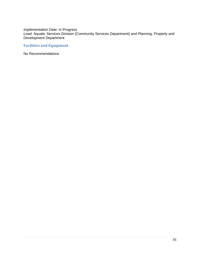# *Implementation Date:* In Progress

*Lead:* Aquatic Services Division (Community Services Department) and Planning, Property and Development Department

# **Facilities and Equipment**

No Recommendations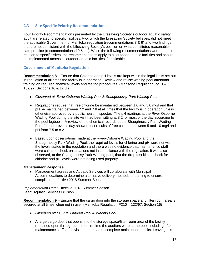# **2.3 Site Specific Priority Recommendations**

Four Priority Recommendations presented by the Lifesaving Society's outdoor aquatic safety audit are related to specific facilities: two, which the Lifesaving Society believes, did not meet the applicable Government of Manitoba regulation (recommendations 8 & 9) and two findings that are not consistent with the Lifesaving Society's position on what constitutes reasonable safe practice (recommendations 10 & 11). While the following recommendations were made in relation to specific sites, the recommendations apply to all outdoor aquatic facilities and should be implemented across all outdoor aquatic facilities if applicable.

# **Government of Manitoba Regulation**

**Recommendation 8** – Ensure that Chlorine and pH levels are kept within the legal limits set out in regulation at all times the facility is in operation. Review and revise wading pool attendant training on required chemical levels and testing procedures. (Manitoba Regulation P210 – 132/97, Sections 16 & 17[3])

- ♦ *Observed at: River Osborne Wading Pool & Shaughnessy Park Wading Pool*
- $\triangle$  Regulations require that free chlorine be maintained between 1.0 and 5.0 mg/l and that pH be maintained between 7.2 and 7.8 at all times that the facility is in operation unless otherwise approved by a public health inspector. The pH readings at the River Osborne Wading Pool during the site visit had been sitting at 8.2 for most of the day according to the pool logbook. A review of the chemical records at the Shaughnessy Park Wading Pool for the previous day showed test results of free chlorine between 5 and 10 mg/l and pH from 7.5 to 8.2.
- ♦ Based upon observations made at the River-Osborne Wading Pool and the Shaughnessy Park Wading Pool, the required levels for chlorine and pH were not within the levels stated in the regulation and there was no evidence that maintenance staff were called to check on situations not in compliance with the regulation. It was also observed, at the Shaughnessy Park Wading pool, that the drop test kits to check for chlorine and pH levels were not being used properly.

#### *Management Response*

♦ Management agrees and Aquatic Services will collaborate with Municipal Accommodations to determine alternative delivery methods of training to ensure compliance effective 2018 Summer Season.

*Implementation Date:* Effective 2018 Summer Season *Lead:* Aquatic Services Division

**Recommendation 9** – Ensure that the cargo door into the storage space and filter room area is secured at all times when not in use.(Manitoba Regulation P210 – 132/97, Section 16)

- ♦ *Observed at: St. Vital Outdoor Pool & Wading Pool*
- ♦ A large cargo door that opens into the storage space/filter room area of the facility remained open throughout the entire time the auditors were at the pool, including after maintenance staff left to visit another site to complete maintenance tasks. Leaving this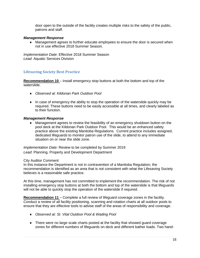door open to the outside of the facility creates multiple risks to the safety of the public, patrons and staff.

#### *Management Response*

♦ Management agrees to further educate employees to ensure the door is secured when not in use effective 2018 Summer Season.

*Implementation Date:* Effective 2018 Summer Season *Lead*: Aquatic Services Division

# **Lifesaving Society Best Practice**

**Recommendation 10** – Install emergency stop buttons at both the bottom and top of the waterslide.

- ♦ *Observed at: Kildonan Park Outdoor Pool*
- ♦ In case of emergency the ability to stop the operation of the waterslide quickly may be required. These buttons need to be easily accessible at all times, and clearly labeled as to their function.

#### *Management Response*

♦ Management agrees to review the feasibility of an emergency shutdown button on the pool deck at the Kildonan Park Outdoor Pool. This would be an enhanced safety practice above the existing Manitoba Regulations. Current practice includes assigned, dedicated lifeguards to monitor patron use of the slide, to attend to any immediate situation on or near the slide zone.

*Implementation Date:* Review to be completed by Summer 2019 *Lead*: Planning, Property and Development Department

#### City Auditor Comment

In this instance the Department is not in contravention of a Manitoba Regulation; the recommendation is identified as an area that is not consistent with what the Lifesaving Society believes is a reasonable safe practice.

At this time, management has not committed to implement the recommendation. The risk of not installing emergency stop buttons at both the bottom and top of the waterslide is that lifeguards will not be able to quickly stop the operation of the waterslide if required.

**Recommendation 11** – Complete a full review of lifeguard coverage zones in the facility. Conduct a review of all facility positioning, scanning and rotation charts at all outdoor pools to ensure that they are effective tools to advise staff of the areas of responsibility and coverage.

- ♦ *Observed at: St. Vital Outdoor Pool & Wading Pool*
- ♦ There were no large scale charts posted at the facility that showed guard coverage zones for different numbers of lifeguards on deck and different bather loads. Two hand-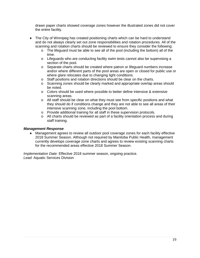drawn paper charts showed coverage zones however the illustrated zones did not cover the entire facility.

- ♦ The City of Winnipeg has created positioning charts which can be hard to understand and do not always clearly set out zone responsibilities and rotation procedures. All of the scanning and rotation charts should be reviewed to ensure they consider the following:
	- o The lifeguard must be able to see all of the pool (including the bottom) all of the time.
	- $\circ$  Lifeguards who are conducting facility swim tests cannot also be supervising a section of the pool.
	- o Separate charts should be created where patron or lifeguard numbers increase and/or where different parts of the pool areas are open or closed for public use or where glare relocates due to changing light conditions.
	- o Staff positions and rotation directions should be clear on the charts.
	- o Scanning zones should be clearly marked and appropriate overlap areas should be noted.
	- o Colors should be used where possible to better define intensive & extensive scanning areas.
	- o All staff should be clear on what they must see from specific positions and what they should do if conditions change and they are not able to see all areas of their intensive scanning zone, including the pool bottom.
	- o Provide additional training for all staff in these supervision protocols.
	- o All charts should be reviewed as part of a facility orientation process and during staff training.

# *Management Response*

♦ Management agrees to review all outdoor pool coverage zones for each facility effective 2018 Summer Season. Although not required by Manitoba Public Health, management currently develops coverage zone charts and agrees to review existing scanning charts for the recommended areas effective 2018 Summer Season.

*Implementation Date:* Effective 2018 summer season, ongoing practice. *Lead:* Aquatic Services Division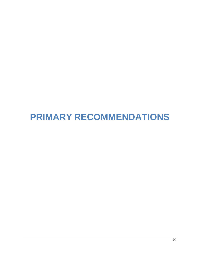# <span id="page-19-0"></span>**PRIMARY RECOMMENDATIONS**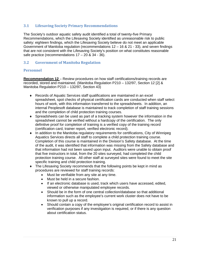# **3.1 Lifesaving Society Primary Recommendations**

The Society's outdoor aquatic safety audit identified a total of twenty-five Primary Recommendations, which the Lifesaving Society identified as unreasonable risk to public safety: eighteen findings, which the Lifesaving Society believe do not meet an applicable Government of Manitoba regulation (recommendations 12 – 16 & 21 - 33), and seven findings that are not consistent with the Lifesaving Society's position on what constitutes reasonable safe practice (recommendations  $17 - 20$  &  $34 - 36$ ).

# **3.2 Government of Manitoba Regulation**

# **Personnel**

**Recommendation 12** – Review procedures on how staff certifications/training records are recorded, stored and maintained. (Manitoba Regulation P210 – 132/97, Section 12 [2] & Manitoba Regulation P210 – 132/97, Section 43)

- ♦ Records of Aquatic Services staff qualifications are maintained in an excel spreadsheet, spot checks of physical certification cards are conducted when staff select hours of work, with this information transferred to the spreadsheets. In addition, an internal Peoplesoft database is maintained to track completion of staff training sessions and the completion of child protection training courses.
- ♦ Spreadsheets can be used as part of a tracking system however the information in the spreadsheet cannot be verified without a hardcopy of the certification. The only definitive proof for completion of training is a verified copy of the training record (certification card, trainer report, verified electronic record).
- ♦ In addition to the Manitoba regulatory requirements for certifications, City of Winnipeg Aquatics Services directs all staff to complete a child protection training course. Completion of this course is maintained in the Division's Safety database. At the time of the audit, it was identified that information was missing from the Safety database and that information had not been saved upon input. Auditors were unable to obtain proof that five instructors in total, from the 20 sites surveyed, had completed the child protection training course. All other staff at surveyed sites were found to meet the site specific training and child protection training.
- ♦ The Lifesaving Society recommends that the following points be kept in mind as procedures are reviewed for staff training records:
	- Must be verifiable from any site at any time.
	- Must be held in a secure fashion.
	- If an electronic database is used, track which users have accessed, edited, viewed or otherwise manipulated employee records.
	- Should be in the form of one central collection/database so that additional information such as the employee's current work cluster does not have to be known to pull up a record.
	- Should contain a copy of the employee's original certification record to assist in verification purposes if any investigation is required, or if there is any question about certification status.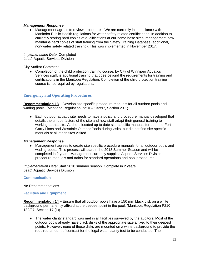## *Management Response*

♦ Management agrees to review procedures. We are currently in compliance with Manitoba Public Health regulations for water safety related certifications. In addition to currently storing hard copies of qualifications at our home base sites, management now maintains hard copies of staff training from the Safety Training Database (additional, non-water safety related training). This was implemented in November 2017.

#### *Implementation Date:* Completed *Lead:* Aquatic Services Division

City Auditor Comment

♦ Completion of the child protection training course, by City of Winnipeg Aquatics Services staff, is additional training that goes beyond the requirements for training and certifications in the Manitoba Regulation. Completion of the child protection training course is not required by regulations.

# **Emergency and Operating Procedures**

**Recommendation 13** – Develop site specific procedure manuals for all outdoor pools and wading pools. (Manitoba Regulation P210 – 132/97, Section 23.1)

♦ Each outdoor aquatic site needs to have a policy and procedure manual developed that details the unique factors of the site and how staff adapt their general training to working at that site. Auditors located up to date site-specific manuals for both the Fort Garry Lions and Westdale Outdoor Pools during visits, but did not find site-specific manuals at all other sites visited.

#### *Management Response*

♦ Management agrees to create site specific procedure manuals for all outdoor pools and wading pools. This process will start in the 2018 Summer Season and will be completed in 2 years. Management currently supplies Aquatic Services Division procedure manuals and trains for standard operations and pool procedures.

*Implementation Date:* Start 2018 summer season. Complete in 2 years. *Lead:* Aquatic Services Division

#### **Communication**

No Recommendations

## **Facilities and Equipment**

**Recommendation 14 –** Ensure that all outdoor pools have a 150 mm black disk on a white background permanently affixed at the deepest point in the pool. (Manitoba Regulation P210 – 132/97, Section 17 (1))

♦ The water clarity standard was met in all facilities surveyed by the auditors. Most of the outdoor pools already have black disks of the appropriate size affixed to their deepest points. However, none of these disks are mounted on a white background to provide the required amount of contrast for the legal water clarity test to be conducted. The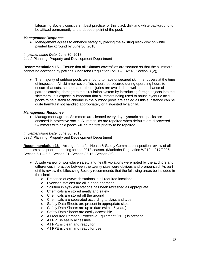Lifesaving Society considers it best practice for this black disk and white background to be affixed permanently to the deepest point of the pool.

#### *Management Response*

♦ Management agrees to enhance safety by placing the existing black disk on white painted background by June 30, 2018.

*Implementation Date:* June 30, 2018

*Lead:* Planning, Property and Development Department

**Recommendation 15** – Ensure that all skimmer covers/lids are secured so that the skimmers cannot be accessed by patrons. (Manitoba Regulation P210 – 132/97, Section 8 (2))

♦ The majority of outdoor pools were found to have unsecured skimmer covers at the time of inspection. All skimmer covers/lids should be secured during operating hours to ensure that cuts, scrapes and other injuries are avoided, as well as the chance of patrons causing damage to the circulation system by introducing foreign objects into the skimmers. It is especially important that skimmers being used to house cyanuric acid packs to help stabilize chlorine in the outdoor pools are sealed as this substance can be quite harmful if not handled appropriately or if ingested by a child.

## *Management Response*

♦ Management agrees. Skimmers are cleaned every day; cyanuric acid packs are encased in protective socks. Skimmer lids are repaired when defaults are discovered. Skimmers with acid packs will be the first priority to be repaired.

*Implementation Date:* June 30, 2018 *Lead:* Planning, Property and Development Department

**Recommendation 16** – Arrange for a full Health & Safety Committee inspection review of all aquatics sites prior to opening for the 2018 season. (Manitoba Regulation W210 – 217/2006, Section 6.1 – 6.5, Section 21, Section 35.15, Section 35)

- ♦ A wide variety of workplace safety and health violations were noted by the auditors and differences in practice between the twenty sites were obvious and pronounced. As part of this review the Lifesaving Society recommends that the following areas be included in the checks:
	- o Presence of eyewash stations in all required locations
	- o Eyewash stations are all in good operation
	- o Solution in eyewash stations has been refreshed as appropriate
	- o Chemicals are stored neatly and safely
	- o Chemicals are stored off the ground
	- o Chemicals are separated according to class and type.
	- o Safety Data Sheets are present in appropriate sites
	- o Safety Data Sheets are up to date (within 5 years)
	- o Safety Data Sheets are easily accessible.
	- o All required Personal Protective Equipment (PPE) is present.
	- o All PPE is easily accessible
	- o All PPE is clean and ready for
	- o All PPE is clean and ready for use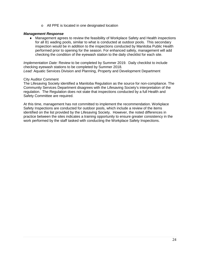o All PPE is located in one designated location

## *Management Response*

♦ Management agrees to review the feasibility of Workplace Safety and Health inspections for all 81 wading pools, similar to what is conducted at outdoor pools. This secondary inspection would be in addition to the inspections conducted by Manitoba Public Health performed prior to opening for the season. For enhanced safety, management will add checking the condition of the eyewash station to the daily checklist for each site.

*Implementation Date:* Review to be completed by Summer 2019. Daily checklist to include checking eyewash stations to be completed by Summer 2018. *Lead:* Aquatic Services Division and Planning, Property and Development Department

## City Auditor Comment

The Lifesaving Society identified a Manitoba Regulation as the source for non-compliance. The Community Services Department disagrees with the Lifesaving Society's interpretation of the regulation. The Regulation does not state that inspections conducted by a full Health and Safety Committee are required.

At this time, management has not committed to implement the recommendation. Workplace Safety Inspections are conducted for outdoor pools, which include a review of the items identified on the list provided by the Lifesaving Society. However, the noted differences in practice between the sites indicates a training opportunity to ensure greater consistency in the work performed by the staff tasked with conducting the Workplace Safety Inspections.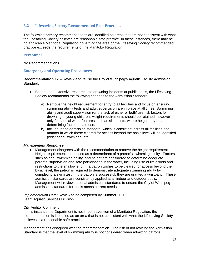# **3.2 Lifesaving Society Recommended Best Practices**

The following primary recommendations are identified as areas that are not consistent with what the Lifesaving Society believes are reasonable safe practice. In these instances, there may be no applicable Manitoba Regulation governing the area or the Lifesaving Society recommended practice exceeds the requirements of the Manitoba Regulation.

#### **Personnel**

No Recommendations

## **Emergency and Operating Procedures**

**Recommendation 17** – Review and revise the City of Winnipeg's Aquatic Facility Admission Standard.

- ♦ Based upon extensive research into drowning incidents at public pools, the Lifesaving Society recommends the following changes to the Admission Standard:
	- a) Remove the height requirement for entry to all facilities and focus on ensuring swimming ability tests and adult supervision are in place at all times. Swimming ability and adult supervision (or the lack of either or both) are risk factors for drowning in young children. Height requirements should be retained, however only for special water features such as slides, etc. where height may be a determining factor in safe use.
	- b) Include in the admission standard, which is consistent across all facilities, the manner in which those cleared for access beyond the basic level will be identified (wrist band, swim cap, etc.).

#### *Management Response*

♦ Management disagrees with the recommendation to remove the height requirement. Height requirement is not used as a determinant of a patron's swimming ability. Factors such as age, swimming ability, and height are considered to determine adequate parental supervision and safe participation in the water, including use of lifejackets and restrictions to the shallow end. If a patron wishes to be cleared for access beyond the basic level, the patron is required to demonstrate adequate swimming ability by completing a swim test. If the patron is successful, they are granted a wristband. These admission standards are consistently applied at all indoor and outdoor pools. Management will review national admission standards to ensure the City of Winnipeg admission standards for pools meets current needs.

*Implementation Date:* Review to be completed by Summer 2020. *Lead:* Aquatic Services Division

#### City Auditor Comment

In this instance the Department is not in contravention of a Manitoba Regulation; the recommendation is identified as an area that is not consistent with what the Lifesaving Society believes is a reasonable safe practice.

Management has disagreed with the recommendation. The risk of not revising the Admission Standard is that the level of swimming ability is not considered when admitting patrons.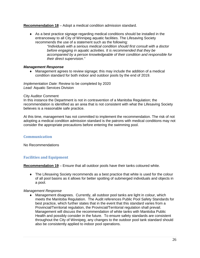**Recommendation 18** – Adopt a medical condition admission standard.

♦ As a best practice signage regarding medical conditions should be installed in the entranceway to all City of Winnipeg aquatic facilities. The Lifesaving Society recommends the use of a statement such as the following:

> *"Individuals with a serious medical condition should first consult with a doctor before engaging in aquatic activities. It is recommended that they be accompanied by a person knowledgeable of their condition and responsible for their direct supervision."*

# *Management Response*

♦ Management agrees to review signage; this may include the addition of a medical condition standard for both indoor and outdoor pools by the end of 2019.

*Implementation Date:* Review to be completed by 2020 *Lead:* Aquatic Services Division

## City Auditor Comment

In this instance the Department is not in contravention of a Manitoba Regulation; the recommendation is identified as an area that is not consistent with what the Lifesaving Society believes is a reasonable safe practice.

At this time, management has not committed to implement the recommendation. The risk of not adopting a medical condition admission standard is the patrons with medical conditions may not consider the appropriate precautions before entering the swimming pool.

# **Communication**

No Recommendations

# **Facilities and Equipment**

**Recommendation 19** – Ensure that all outdoor pools have their tanks coloured white.

♦ The Lifesaving Society recommends as a best practice that white is used for the colour of all pool basins as it allows for better spotting of submerged individuals and objects in a pool.

# *Management Response*

♦ Management disagrees. Currently, all outdoor pool tanks are light in colour, which meets the Manitoba Regulation. The Audit references Public Pool Safety Standards for best practice, which further states that in the event that this standard varies from a Provincial/Territorial regulation, the Provincial/Territorial regulation shall prevail. Management will discuss the recommendation of white tanks with Manitoba Public Health and possibly consider in the future. To ensure safety standards are consistent throughout the City of Winnipeg, any changes to the outdoor pool tank standard should also be consistently applied to indoor pool operations.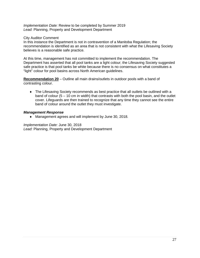*Implementation Date:* Review to be completed by Summer 2019 *Lead:* Planning, Property and Development Department

## City Auditor Comment

In this instance the Department is not in contravention of a Manitoba Regulation; the recommendation is identified as an area that is not consistent with what the Lifesaving Society believes is a reasonable safe practice.

At this time, management has not committed to implement the recommendation. The Department has asserted that all pool tanks are a light colour; the Lifesaving Society suggested safe practice is that pool tanks be white because there is no consensus on what constitutes a "light" colour for pool basins across North American guidelines.

**Recommendation 20** – Outline all main drains/outlets in outdoor pools with a band of contrasting colour.

♦ The Lifesaving Society recommends as best practice that all outlets be outlined with a band of colour  $(5 - 10 \text{ cm})$  in width) that contrasts with both the pool basin, and the outlet cover. Lifeguards are then trained to recognize that any time they cannot see the entire band of colour around the outlet they must investigate.

#### *Management Response*

♦ Management agrees and will implement by June 30, 2018.

*Implementation Date:* June 30, 2018 *Lead:* Planning, Property and Development Department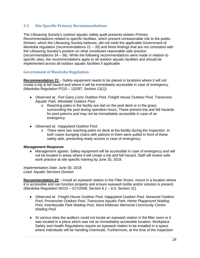# **3.3 Site Specific Primary Recommendations**

The Lifesaving Society's outdoor aquatic safety audit presents sixteen Primary Recommendations related to specific facilities, which present unreasonable risk to the public: thirteen, which the Lifesaving Society believes, did not meet the applicable Government of Manitoba regulation (recommendations  $21 - 33$ ) and three findings that are not consistent with the Lifesaving Society's position on what constitutes reasonable safe practice (recommendations 34 – 36). While the following recommendations were made in relation to specific sites, the recommendations apply to all outdoor aquatic facilities and should be implemented across all outdoor aquatic facilities if applicable.

# **Government of Manitoba Regulation**

**Recommendation 21** – Safety equipment needs to be placed in locations where it will not create a trip & fall hazard and where it will be immediately accessible in case of emergency. (Manitoba Regulation P210 – 132/97, Section 13(1))

- ♦ *Observed at: Fort Garry Lions Outdoor Pool, Freight House Outdoor Pool, Transcona Aquatic Park, Westdale Outdoor Pool.*
	- o Reaching poles in the facility are laid on the pool deck or in the grass surrounding the pool during operation hours. These present trip and fall hazards for pool patrons and may not be immediately accessible in case of an emergency.
- ♦ *Observed at: Happyland Outdoor Pool.*
	- $\circ$  There were two reaching poles on deck at the facility during the inspection. In both cases lounging chairs with patrons in them were pulled in front of these safety aids, preventing ready access in case of emergency.

## *Management Response*

♦ Management agrees. Safety equipment will be accessible in case of emergency and will not be located in areas where it will create a trip and fall hazard. Staff will review safe work practice at site specific training by June 30, 2018.

*Implementation Date:* June 30, 2018 *Lead:* Aquatic Services Division

**Recommendation 22 –** Install an eyewash station in the Filter Room, mount in a location where it is accessible and can function properly and ensure eyewash bottle and/or solution is present. (Manitoba Regulation W210 – 217/2006, Section 6.1 – 6.5, Section 21)

- ♦ *Observed at: Freight House Outdoor Pool, Happyland Outdoor Pool, Norwood Outdoor Pool, Provencher Outdoor Pool, Transcona Aquatic Park, Home Playground Wading Pool, Keenleyside Park Wading Pool, West Kildonan Memorial Community Centre Wading Pool.*
- ♦ At various sites the auditors could not locate an eyewash station in the filter room or it was located in a place which was not an immediately accessible location. Workplace Safety and Health Regulations require an eyewash station to be installed in a space where individuals will be handling chemicals. Furthermore, at the time of the inspection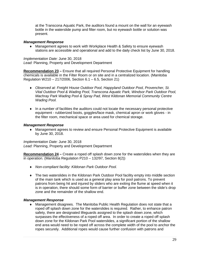at the Transcona Aquatic Park, the auditors found a mount on the wall for an eyewash bottle in the waterslide pump and filter room, but no eyewash bottle or solution was present.

#### *Management Response*

♦ Management agrees to work with Workplace Health & Safety to ensure eyewash stations are accessible and operational and add to the daily check list by June 30, 2018.

*Implementation Date:* June 30, 2018 *Lead:* Planning, Property and Development Department

**Recommendation 23 –** Ensure that all required Personal Protective Equipment for handling chemicals is available in the Filter Room or on site and in a centralized location. (Manitoba Regulation W210 – 217/2006, Section 6.1 – 6.5, Section 21)

- ♦ *Observed at: Freight House Outdoor Pool, Happyland Outdoor Pool, Provencher, St. Vital Outdoor Pool & Wading Pool, Transcona Aquatic Park, Windsor Park Outdoor Pool, Machray Park Wading Pool & Spray Pad, West Kildonan Memorial Community Centre Wading Pool.*
- ♦ In a number of facilities the auditors could not locate the necessary personal protective equipment - rubberized boots, goggles/face mask, chemical apron or work gloves - in the filter room, mechanical space or area used for chemical storage.

#### *Management Response*

♦ Management agrees to review and ensure Personal Protective Equipment is available by June 30, 2018.

*Implementation Date:* June 30, 2018 *Lead:* Planning, Property and Development Department

**Recommendation 24 –** Create a roped off splash down zone for the waterslides when they are in operation. (Manitoba Regulation P210 – 132/97, Section 8(2))

- ♦ *Non-compliant facility: Kildonan Park Outdoor Pool.*
- ♦ The two waterslides in the Kildonan Park Outdoor Pool facility empty into middle section of the main tank which is used as a general play area for pool patrons. To prevent patrons from being hit and injured by sliders who are exiting the flume at speed when it is in operation, there should some form of barrier or buffer zone between the slide's drop zone and the remainder of the shallow end.

## *Management Response*

♦ Management disagrees. The Manitoba Public Health Regulation does not state that a roped off splash down zone for the waterslides is required. Rather, to enhance patron safety, there are designated lifeguards assigned to the splash down zone, which surpasses the effectiveness of a roped off area. In order to create a roped off splash down zone for the Kildonan Park Pool waterslides, a significant portion of the shallow end area would need to be roped off across the complete width of the pool to anchor the ropes securely. Additional ropes would cause further confusion with patrons and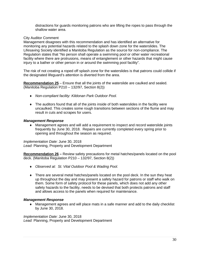distractions for guards monitoring patrons who are lifting the ropes to pass through the shallow water area.

# City Auditor Comment

Management disagrees with this recommendation and has identified an alternative for monitoring any potential hazards related to the splash down zone for the waterslides. The Lifesaving Society identified a Manitoba Regulation as the source for non-compliance. The Regulation states that "No person shall operate a swimming pool or other water recreational facility where there are protrusions, means of entanglement or other hazards that might cause injury to a bather or other person in or around the swimming pool facility".

The risk of not creating a roped off splash zone for the waterslides is that patrons could collide if the designated lifeguard's attention is diverted from the area.

**Recommendation 25** – Ensure that all the joints of the waterslide are caulked and sealed. (Manitoba Regulation P210 – 132/97, Section 8(2))

- ♦ *Non-compliant facility: Kildonan Park Outdoor Pool.*
- ♦ The auditors found that all of the joints inside of both waterslides in the facility were uncaulked. This creates some rough transitions between sections of the flume and may result in cuts and scrapes for users.

# *Management Response*

♦ Management agrees and will add a requirement to inspect and record waterslide joints frequently by June 30, 2018. Repairs are currently completed every spring prior to opening and throughout the season as required.

*Implementation Date:* June 30, 2018

*Lead:* Planning, Property and Development Department

**Recommendation 26 –** Review safety precautions for metal hatches/panels located on the pool deck. (Manitoba Regulation P210 – 132/97, Section 8(2))

- ♦ *Observed at: St. Vital Outdoor Pool & Wading Pool.*
- ♦ There are several metal hatches/panels located on the pool deck. In the sun they heat up throughout the day and may present a safety hazard for patrons or staff who walk on them. Some form of safety protocol for these panels, which does not add any other safety hazards to the facility, needs to be devised that both protects patrons and staff and allows access to the panels when required for maintenance.

## *Management Response*

♦ Management agrees and will place mats in a safe manner and add to the daily checklist by June 30, 2018.

*Implementation Date:* June 30, 2018 *Lead:* Planning, Property and Development Department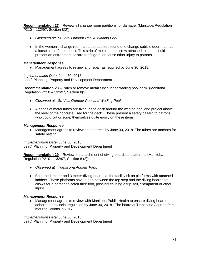**Recommendation 27** – Review all change room partitions for damage. (Manitoba Regulation P210 – 132/97, Section 8(2))

- ♦ *Observed at: St. Vital Outdoor Pool & Wading Pool.*
- ♦ In the women's change room area the auditors found one change cubicle door that had a loose strip of metal on it. This strip of metal had a screw attached to it and could present an entrapment hazard for fingers, or cause other injury to patrons.

# *Management Response*

♦ Management agrees to review and repair as required by June 30, 2018.

*Implementation Date:* June 30, 2018 *Lead:* Planning, Property and Development Department

**Recommendation 28** – Patch or remove metal tubes in the wading pool deck. (Manitoba Regulation P210 – 132/97, Section 8(2))

- ♦ *Observed at: St. Vital Outdoor Pool and Wading Pool.*
- ♦ A series of metal tubes are fixed in the deck around the wading pool and project above the level of the concrete used for the deck. These present a safety hazard to patrons who could cut or scrap themselves quite easily on these items.

## *Management Response*

♦ Management agrees to review and address by June 30, 2018. The tubes are anchors for safety netting.

*Implementation Date:* June 30, 2018 *Lead:* Planning, Property and Development Department

**Recommendation 29** – Review the attachment of diving boards to platforms. (Manitoba Regulation P210 – 132/97, Section 8 (2))

- ♦ *Observed at: Transcona Aquatic Park.*
- ♦ Both the 1 meter and 3 meter diving boards at the facility sit on platforms with attached ladders. These platforms have a gap between the top step and the diving board that allows for a person to catch their foot, possibly causing a trip, fall, entrapment or other injury.

## *Management Response*

♦ Management agrees to review with Manitoba Public Health to ensure diving boards adhere to provincial regulation by June 30, 2018. The board at Transcona Aquatic Park met regulations in 2017.

*Implementation Date:* June 30, 2018 *Lead:* Planning, Property and Development Department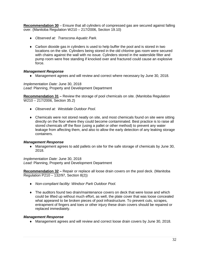**Recommendation 30** – Ensure that all cylinders of compressed gas are secured against falling over. (Manitoba Regulation W210 – 217/2006, Section 19.10)

- ♦ *Observed at: Transcona Aquatic Park.*
- ♦ Carbon dioxide gas in cylinders is used to help buffer the pool and is stored in two locations on the site. Cylinders being stored in the old chlorine gas room were secured with chains against the wall with no issue. Cylinders stored in the waterslide filter and pump room were free standing if knocked over and fractured could cause an explosive force.

## *Management Response*

♦ Management agrees and will review and correct where necessary by June 30, 2018.

*Implementation Date:* June 30, 2018 *Lead:* Planning, Property and Development Department

**Recommendation 31 –** Review the storage of pool chemicals on site. (Manitoba Regulation W210 – 217/2006, Section 35.2)

- ♦ *Observed at: Westdale Outdoor Pool.*
- ♦ Chemicals were not stored neatly on site, and most chemicals found on site were sitting directly on the floor where they could become contaminated. Best practice is to raise all stored chemicals off the floor (using a pallet or other method) to prevent any water leakage from affecting them, and also to allow the early detection of any leaking storage containers.

#### *Management Response*

♦ Management agrees to add pallets on site for the safe storage of chemicals by June 30, 2018.

*Implementation Date:* June 30, 2018 *Lead:* Planning, Property and Development Department

**Recommendation 32 –** Repair or replace all loose drain covers on the pool deck. (Manitoba Regulation P210 – 132/97, Section 8(2))

- ♦ *Non-compliant facility: Windsor Park Outdoor Pool.*
- ♦ The auditors found two drain/maintenance covers on deck that were loose and which could be lifted up without much effort, as well, the plate cover that was loose concealed what appeared to be broken pieces of pool infrastructure. To prevent cuts, scrapes, entrapment of fingers and toes or other injury these drain covers should be repaired or replaced immediately.

#### *Management Response*

♦ Management agrees and will review and correct loose drain covers by June 30, 2018.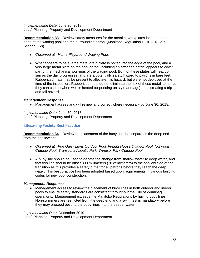*Implementation Date:* June 30, 2018 *Lead:* Planning, Property and Development Department

**Recommendation 33 –** Review safety measures for the metal covers/plates located on the edge of the wading pool and the surrounding apron. (Manitoba Regulation P210 – 132/97, Section 8(2))

- ♦ *Observed at: Home Playground Wading Pool.*
- ♦ What appears to be a large metal drain plate is bolted into the edge of the pool, and a very large metal plate on the pool apron, including an attached hatch, appears to cover part of the mechanical workings of the wading pool. Both of these plates will heat up in sun as the day progresses, and are a potentially safety hazard to patrons in bare feet. Rubberized mats may be present to alleviate this hazard, but were not deployed at the time of the inspection. Rubberized mats do not eliminate the risk of these metal items, as they can curl up when wet or heated (depending on style and age), thus creating a trip and fall hazard.

## *Management Response*

♦ Management agrees and will review and correct where necessary by June 30, 2018.

*Implementation Date:* June 30, 2018 *Lead:* Planning, Property and Development Department

# **Lifesaving Society Best Practice**

**Recommendation 34 –** Review the placement of the buoy line that separates the deep end from the shallow end.

- ♦ *Observed at: Fort Garry Lions Outdoor Pool, Freight House Outdoor Pool, Norwood Outdoor Pool, Transcona Aquatic Park, Windsor Park Outdoor Pool.*
- ♦ A buoy line should be used to denote the change from shallow water to deep water, and that this line should be offset 300 millimeters (30 centimeters) to the shallow side of the transition as this provides a safety buffer for all patrons before they reach the deep water. This best practice has been adopted based upon requirements in various building codes for new pool construction.

## *Management Response*

♦ Management agrees to review the placement of buoy lines in both outdoor and indoor pools to ensure safety standards are consistent throughout the City of Winnipeg operations. Management exceeds the Manitoba Regulations by having buoy lines. Non-swimmers are restricted from the deep end and a swim test is mandatory before they may proceed beyond the buoy lines into the deeper water.

*Implementation Date:* December 2019 *Lead:* Planning, Property and Development Department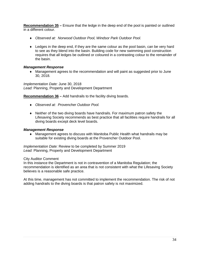**Recommendation 35 –** Ensure that the ledge in the deep end of the pool is painted or outlined in a different colour.

- ♦ *Observed at: Norwood Outdoor Pool, Windsor Park Outdoor Pool.*
- ♦ Ledges in the deep end, if they are the same colour as the pool basin, can be very hard to see as they blend into the basin. Building code for new swimming pool construction requires that all ledges be outlined or coloured in a contrasting colour to the remainder of the basin.

# *Management Response*

♦ Management agrees to the recommendation and will paint as suggested prior to June 30, 2018.

*Implementation Date:* June 30, 2018 *Lead:* Planning, Property and Development Department

**Recommendation 36 –** Add handrails to the facility diving boards.

- ♦ *Observed at: Provencher Outdoor Pool.*
- ♦ Neither of the two diving boards have handrails. For maximum patron safety the Lifesaving Society recommends as best practice that all facilities require handrails for all diving boards except deck level boards.

## *Management Response*

♦ Management agrees to discuss with Manitoba Public Health what handrails may be suitable for existing diving boards at the Provencher Outdoor Pool.

*Implementation Date:* Review to be completed by Summer 2019 *Lead:* Planning, Property and Development Department

City Auditor Comment

In this instance the Department is not in contravention of a Manitoba Regulation; the recommendation is identified as an area that is not consistent with what the Lifesaving Society believes is a reasonable safe practice.

At this time, management has not committed to implement the recommendation. The risk of not adding handrails to the diving boards is that patron safety is not maximized.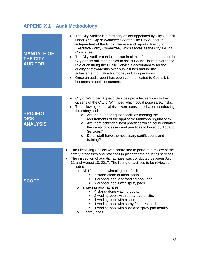# <span id="page-34-0"></span>**APPENDIX 1 – Audit Methodology**

| <b>MANDATE OF</b><br><b>THE CITY</b><br><b>AUDITOR</b> | The City Auditor is a statutory officer appointed by City Council<br>under The City of Winnipeg Charter. The City Auditor is<br>independent of the Public Service and reports directly to<br>Executive Policy Committee, which serves as the City's Audit<br>Committee.<br>• The City Auditor conducts examinations of the operations of the<br>City and its affiliated bodies to assist Council in its governance<br>role of ensuring the Public Service's accountability for the<br>quality of stewardship over public funds and for the<br>achievement of value for money in City operations.<br>Once an audit report has been communicated to Council, it<br>$\bullet$<br>becomes a public document. |
|--------------------------------------------------------|----------------------------------------------------------------------------------------------------------------------------------------------------------------------------------------------------------------------------------------------------------------------------------------------------------------------------------------------------------------------------------------------------------------------------------------------------------------------------------------------------------------------------------------------------------------------------------------------------------------------------------------------------------------------------------------------------------|
|                                                        |                                                                                                                                                                                                                                                                                                                                                                                                                                                                                                                                                                                                                                                                                                          |
| <b>PROJECT</b><br><b>RISK</b><br><b>ANALYSIS</b>       | City of Winnipeg Aquatic Services provides services to the<br>citizens of the City of Winnipeg which could pose safety risks.<br>The following potential risks were considered when conducting<br>the safety audits:<br>Are the outdoor aquatic facilities meeting the<br>$\circ$<br>requirements of the applicable Manitoba regulations?<br>Are there additional best practices which could enhance<br>$\circ$<br>the safety processes and practices followed by Aquatic<br>Services?<br>Do all staff have the necessary certifications and<br>$\circ$<br>training?                                                                                                                                     |
|                                                        | The Lifesaving Society was contracted to perform a review of the<br>٠                                                                                                                                                                                                                                                                                                                                                                                                                                                                                                                                                                                                                                    |
| <b>SCOPE</b>                                           | safety processes and practices in place for the aquatics services.<br>The inspection of aquatic facilities was conducted between July<br>٠<br>31 and August 18, 2017. The listing of facilities to be reviewed<br>included:<br>o All 10 outdoor swimming pool facilities.<br>7 stand-alone outdoor pools;<br>1 outdoor pool and wading pool; and<br>2 outdoor pools with spray pads.<br>9 wading pool facilities.<br>$\circ$<br>4 stand-alone wading pools;<br>2 wading pools with spray pad onsite;<br>$\blacksquare$<br>1 wading pool with a slide;<br>1 wading pool with spray features; and<br>1 wading pool with slide and spray pad nearby.<br>3 spray pads.<br>$\circ$                            |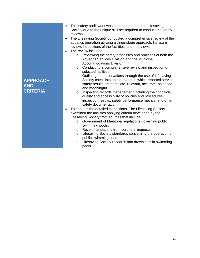| <b>APPROACH</b><br><b>AND</b><br><b>CRITERIA</b> | This safety audit work was contracted out to the Lifesaving<br>٠<br>Society due to the unique skill set required to conduct the safety<br>reviews.<br>The Lifesaving Society conducted a comprehensive review of the<br>٠<br>aquatics operation utilizing a three-stage approach: literature<br>review, inspections of the facilities, and interviews.<br>The review included:<br>٠<br>Reviewing the safety processes and practices of both the<br>$\circ$<br>Aquatics Services Division and the Municipal<br><b>Accommodations Division.</b><br>Conducting a comprehensive review and inspection of<br>$\circ$<br>selected facilities.<br>Outlining the observations through the use of Lifesaving<br>$\circ$<br>Society checklists on the extent to which reported service<br>safety results are complete, relevant, accurate, balanced<br>and meaningful.<br>Inspecting records management including the condition,<br>$\circ$<br>quality and accessibility of policies and procedures,<br>inspection results, safety performance metrics, and other<br>safety documentation.<br>To conduct the detailed inspections, The Lifesaving Society<br>٠<br>examined the facilities applying criteria developed by the<br>Lifesaving Society from sources that include:<br>Government of Manitoba regulations governing public<br>$\circ$<br>swimming pools.<br>Recommendations from coroners' inquests.<br>$\circ$<br>Lifesaving Society standards concerning the operation of<br>$\circ$ |
|--------------------------------------------------|----------------------------------------------------------------------------------------------------------------------------------------------------------------------------------------------------------------------------------------------------------------------------------------------------------------------------------------------------------------------------------------------------------------------------------------------------------------------------------------------------------------------------------------------------------------------------------------------------------------------------------------------------------------------------------------------------------------------------------------------------------------------------------------------------------------------------------------------------------------------------------------------------------------------------------------------------------------------------------------------------------------------------------------------------------------------------------------------------------------------------------------------------------------------------------------------------------------------------------------------------------------------------------------------------------------------------------------------------------------------------------------------------------------------------------------------------------------------------------------|
|                                                  | public swimming pools.<br>Lifesaving Society research into drowning's in swimming<br>$\circ$                                                                                                                                                                                                                                                                                                                                                                                                                                                                                                                                                                                                                                                                                                                                                                                                                                                                                                                                                                                                                                                                                                                                                                                                                                                                                                                                                                                           |
|                                                  | pools.                                                                                                                                                                                                                                                                                                                                                                                                                                                                                                                                                                                                                                                                                                                                                                                                                                                                                                                                                                                                                                                                                                                                                                                                                                                                                                                                                                                                                                                                                 |